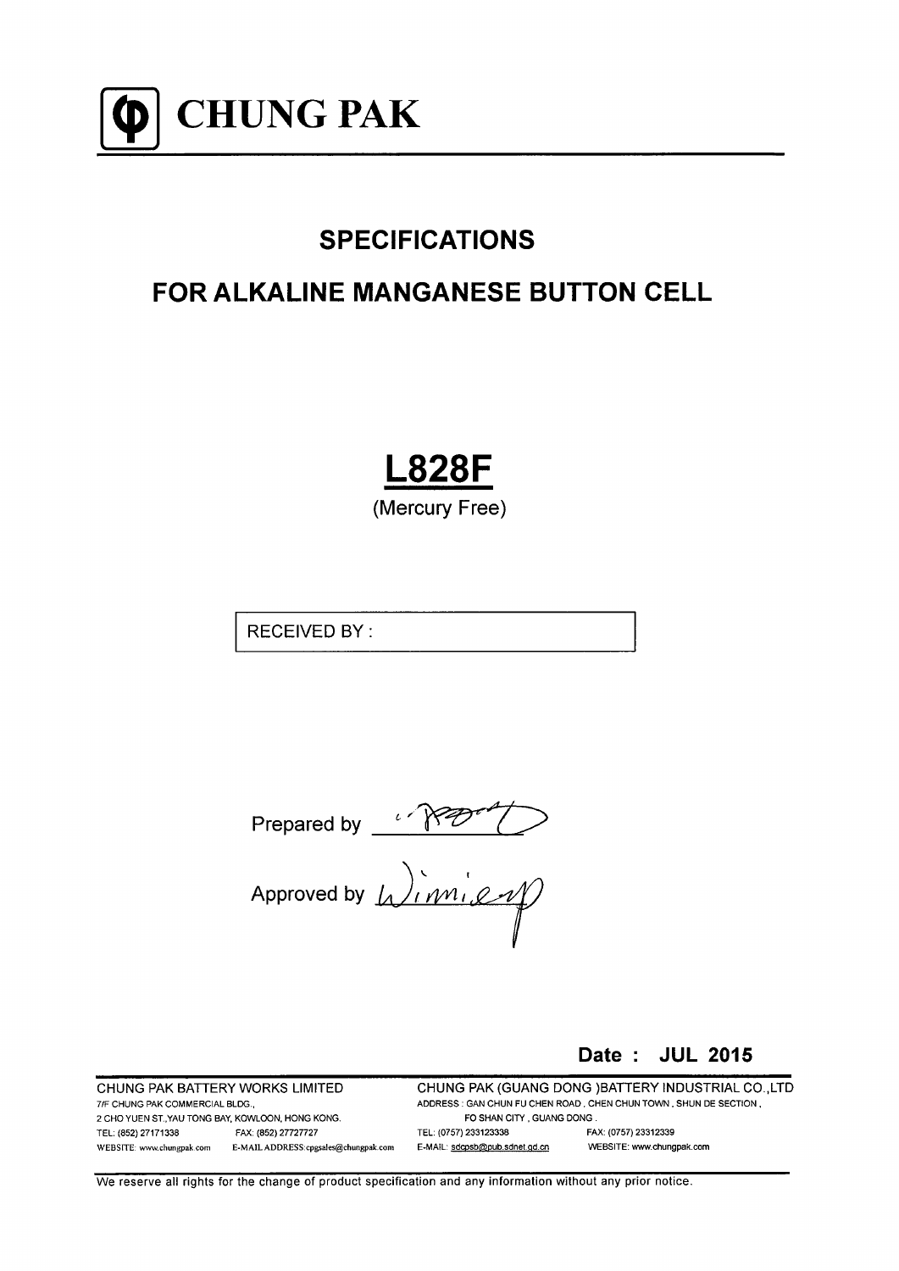

# **SPECIFICATIONS**

# **FOR ALKALINE MANGANESE BUTTON CELL**

**L828F** (Mercury Free)

**RECEIVED BY:** 

Prepared by  $\sqrt{RQ^2Q^2}$ <br>Approved by  $\sqrt{nm_1Q}$ 

Date: JUL 2015

CHUNG PAK BATTERY WORKS LIMITED 7/F CHUNG PAK COMMERCIAL BLDG., 2 CHO YUEN ST., YAU TONG BAY, KOWLOON, HONG KONG. TEL: (852) 27171338 FAX: (852) 27727727 WEBSITE: www.chungpak.com E-MAILADDRESS:cpgsales@chungpak.com CHUNG PAK (GUANG DONG) BATTERY INDUSTRIAL CO., LTD ADDRESS : GAN CHUN FU CHEN ROAD, CHEN CHUN TOWN, SHUN DE SECTION, FO SHAN CITY, GUANG DONG. TEL: (0757) 233123338 FAX: (0757) 23312339 WEBSITE: www.chungpak.com E-MAIL: sdcpsb@pub.sdnet.gd.cn

We reserve all rights for the change of product specification and any information without any prior notice.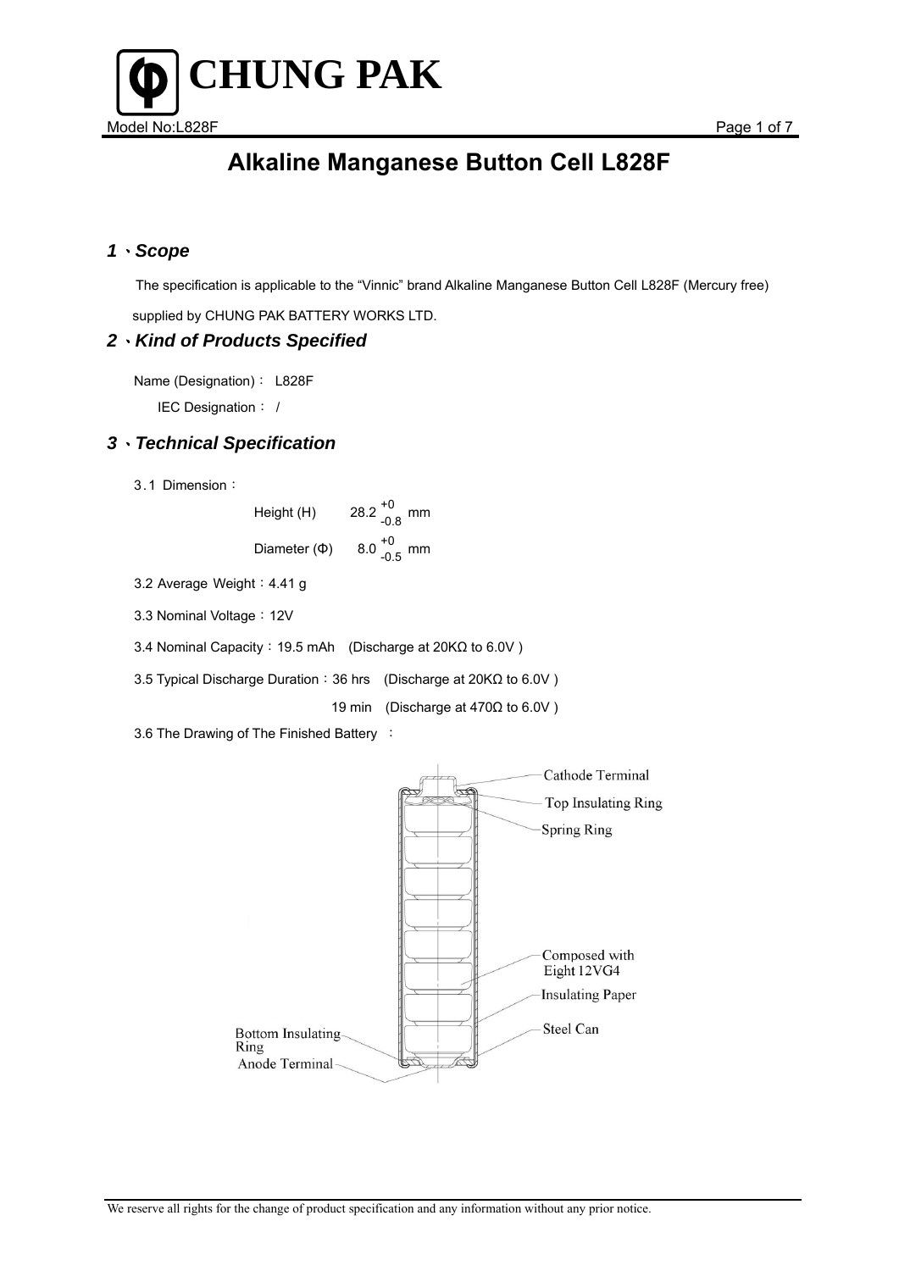

### *1*、*Scope*

 The specification is applicable to the "Vinnic" brand Alkaline Manganese Button Cell L828F (Mercury free) supplied by CHUNG PAK BATTERY WORKS LTD.

### *2*、*Kind of Products Specified*

Name (Designation): L828F

IEC Designation: /

### *3*、*Technical Specification*

3.1 Dimension:

Height (H)  $28.2^{+0}_{-0.8}$  mm Diameter (Φ)  $8.0^{+0}_{-0.5}$  mm

3.2 Average Weight: 4.41 g

3.3 Nominal Voltage: 12V

3.4 Nominal Capacity:19.5 mAh (Discharge at 20KΩ to 6.0V )

3.5 Typical Discharge Duration:36 hrs (Discharge at 20KΩ to 6.0V )

19 min (Discharge at 470Ω to 6.0V )

3.6 The Drawing of The Finished Battery :

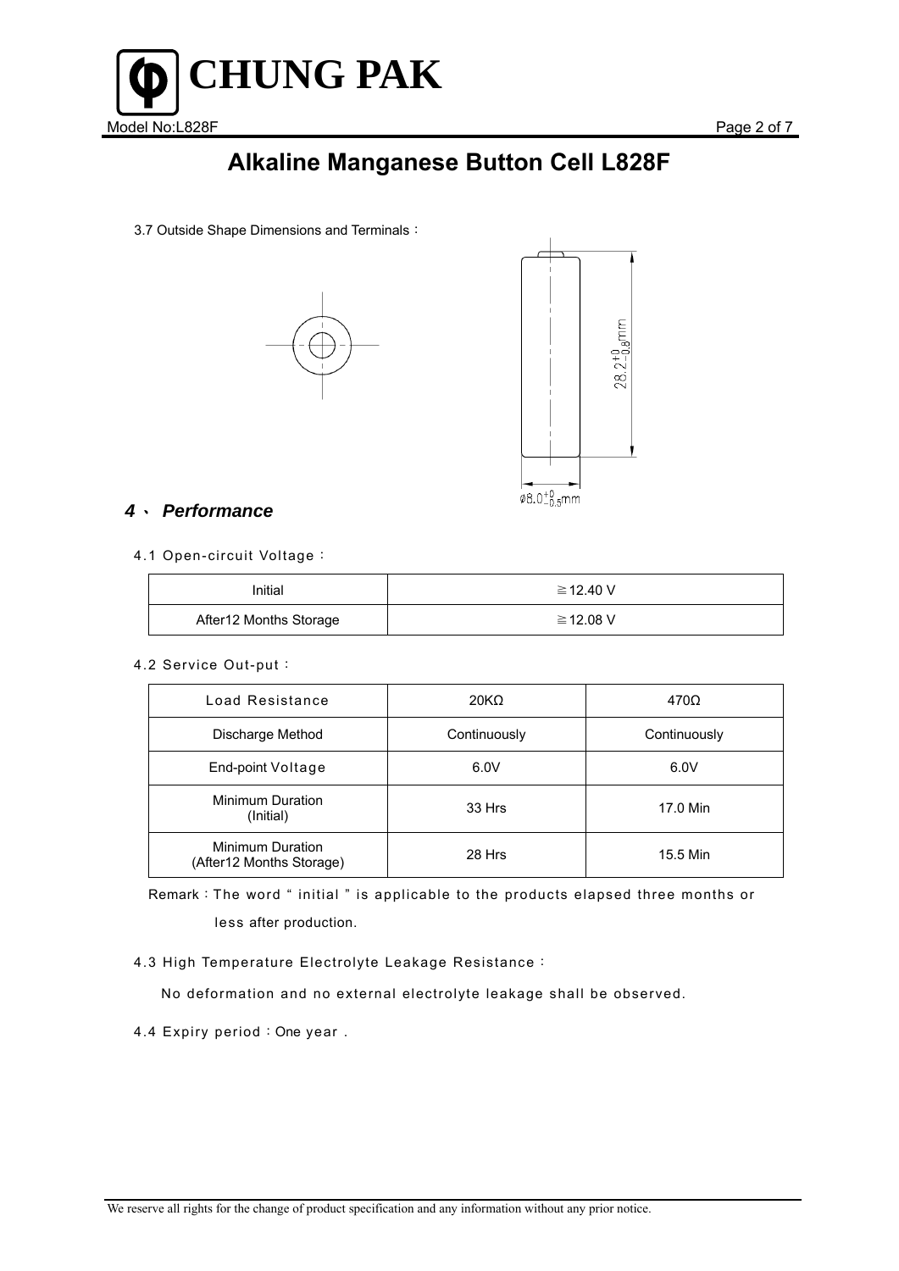

3.7 Outside Shape Dimensions and Terminals:





## *4*、 *Performance*

4.1 Open-circuit Voltage:

| Initial                | ≧12.40 V |
|------------------------|----------|
| After12 Months Storage | ≧12.08 V |

4.2 Service Out-put:

| Load Resistance                                     | 20K <sub>Ω</sub> | 470Ω         |
|-----------------------------------------------------|------------------|--------------|
| Discharge Method                                    | Continuously     | Continuously |
| End-point Voltage                                   | 6.0V             | 6.0V         |
| <b>Minimum Duration</b><br>(Initial)                | 33 Hrs           | 17.0 Min     |
| <b>Minimum Duration</b><br>(After12 Months Storage) | 28 Hrs           | 15.5 Min     |

Remark:The word " initial " is applicable to the products elapsed three months or less after production.

4.3 High Temperature Electrolyte Leakage Resistance:

No deformation and no external electrolyte leakage shall be observed.

4.4 Expiry period: One year.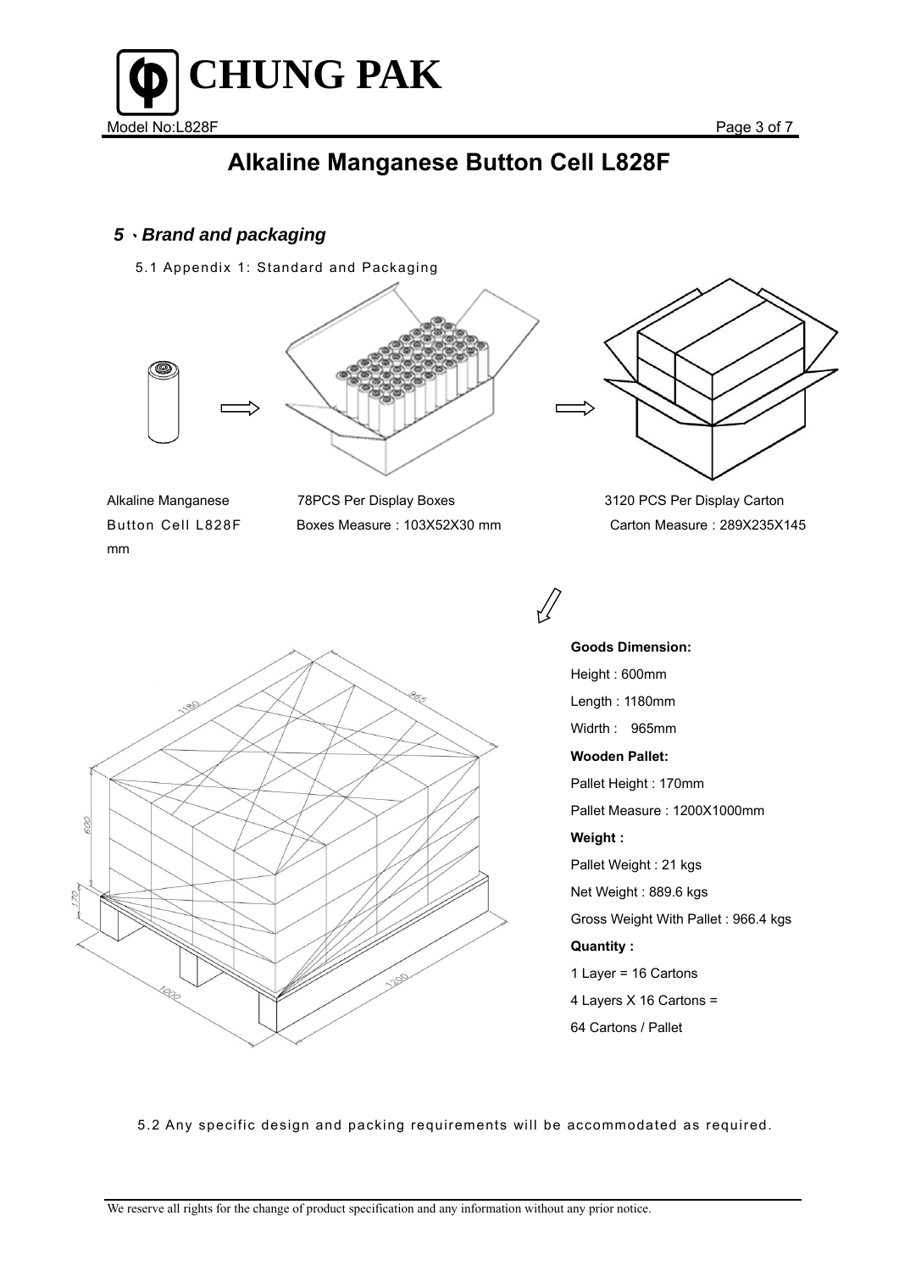

## *5*、*Brand and packaging*

5.1 Appendix 1: Standard and Packaging



mm

Alkaline Manganese 78PCS Per Display Boxes 3120 PCS Per Display Carton



Button Cell L828F Boxes Measure : 103Χ52Χ30 mm Carton Measure : 289Χ235Χ145

**Goods Dimension:**  Height : 600mm Length : 1180mm Widrth : 965mm **Wooden Pallet:**  Pallet Height : 170mm Pallet Measure : 1200Χ1000mm **Weight :**  Pallet Weight : 21 kgs Net Weight : 889.6 kgs Gross Weight With Pallet : 966.4 kgs **Quantity :**  1 Layer = 16 Cartons 4 Layers Χ 16 Cartons = 64 Cartons / Pallet

5.2 Any specific design and packing requirements will be accommodated as required.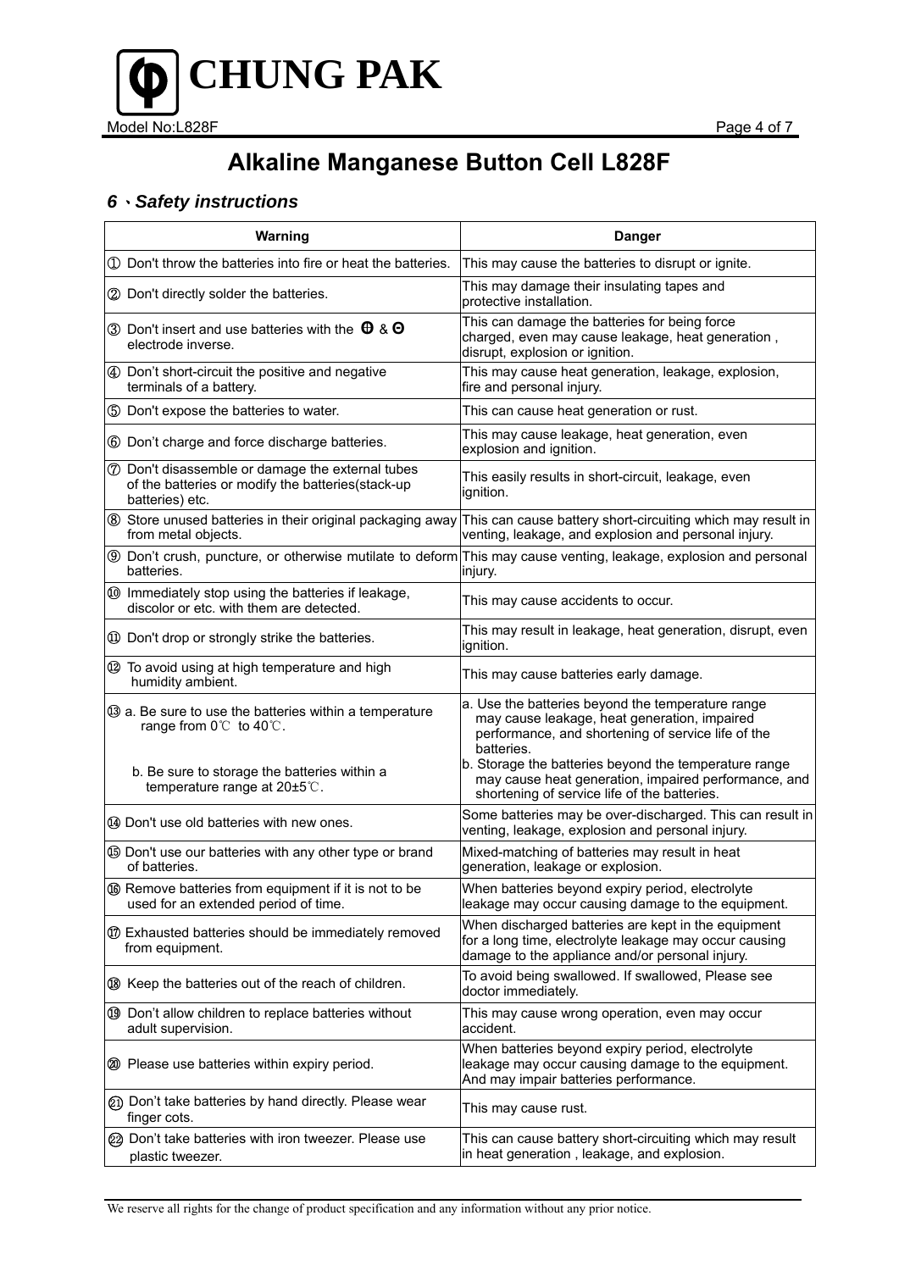

## *6*、*Safety instructions*

| Warning                                                                                                                               | <b>Danger</b>                                                                                                                                                         |
|---------------------------------------------------------------------------------------------------------------------------------------|-----------------------------------------------------------------------------------------------------------------------------------------------------------------------|
| 1 Don't throw the batteries into fire or heat the batteries.                                                                          | This may cause the batteries to disrupt or ignite.                                                                                                                    |
| 2 Don't directly solder the batteries.                                                                                                | This may damage their insulating tapes and<br>protective installation.                                                                                                |
| 3 Don't insert and use batteries with the $\theta$ & $\Theta$<br>electrode inverse.                                                   | This can damage the batteries for being force<br>charged, even may cause leakage, heat generation,<br>disrupt, explosion or ignition.                                 |
| 4 Don't short-circuit the positive and negative<br>terminals of a battery.                                                            | This may cause heat generation, leakage, explosion,<br>fire and personal injury.                                                                                      |
| 5 Don't expose the batteries to water.                                                                                                | This can cause heat generation or rust.                                                                                                                               |
| 6 Don't charge and force discharge batteries.                                                                                         | This may cause leakage, heat generation, even<br>explosion and ignition.                                                                                              |
| <b>7</b> Don't disassemble or damage the external tubes<br>of the batteries or modify the batteries(stack-up<br>batteries) etc.       | This easily results in short-circuit, leakage, even<br>ignition.                                                                                                      |
| 8 Store unused batteries in their original packaging away<br>from metal objects.                                                      | This can cause battery short-circuiting which may result in<br>venting, leakage, and explosion and personal injury.                                                   |
| <b>9</b> Don't crush, puncture, or otherwise mutilate to deform This may cause venting, leakage, explosion and personal<br>batteries. | injury.                                                                                                                                                               |
| 100 Immediately stop using the batteries if leakage,<br>discolor or etc. with them are detected.                                      | This may cause accidents to occur.                                                                                                                                    |
| 10 Don't drop or strongly strike the batteries.                                                                                       | This may result in leakage, heat generation, disrupt, even<br>ignition.                                                                                               |
| 12 To avoid using at high temperature and high<br>humidity ambient.                                                                   | This may cause batteries early damage.                                                                                                                                |
| 3 a. Be sure to use the batteries within a temperature<br>range from 0℃ to 40℃.                                                       | a. Use the batteries beyond the temperature range<br>may cause leakage, heat generation, impaired<br>performance, and shortening of service life of the<br>batteries. |
| b. Be sure to storage the batteries within a<br>temperature range at 20±5°C.                                                          | b. Storage the batteries beyond the temperature range<br>may cause heat generation, impaired performance, and<br>shortening of service life of the batteries.         |
| 4 Don't use old batteries with new ones.                                                                                              | Some batteries may be over-discharged. This can result in<br>venting, leakage, explosion and personal injury.                                                         |
| <b>5</b> Don't use our batteries with any other type or brand<br>of batteries.                                                        | Mixed-matching of batteries may result in heat<br>generation, leakage or explosion.                                                                                   |
| <b>6</b> Remove batteries from equipment if it is not to be<br>used for an extended period of time.                                   | When batteries beyond expiry period, electrolyte<br>leakage may occur causing damage to the equipment.                                                                |
| <b>10 Exhausted batteries should be immediately removed</b><br>from equipment.                                                        | When discharged batteries are kept in the equipment<br>for a long time, electrolyte leakage may occur causing<br>damage to the appliance and/or personal injury.      |
| ® Keep the batteries out of the reach of children.                                                                                    | To avoid being swallowed. If swallowed, Please see<br>doctor immediately.                                                                                             |
| 19 Don't allow children to replace batteries without<br>adult supervision.                                                            | This may cause wrong operation, even may occur<br>accident.                                                                                                           |
| 20 Please use batteries within expiry period.                                                                                         | When batteries beyond expiry period, electrolyte<br>leakage may occur causing damage to the equipment.<br>And may impair batteries performance.                       |
| 21) Don't take batteries by hand directly. Please wear<br>finger cots.                                                                | This may cause rust.                                                                                                                                                  |
| 22 Don't take batteries with iron tweezer. Please use<br>plastic tweezer.                                                             | This can cause battery short-circuiting which may result<br>in heat generation, leakage, and explosion.                                                               |

We reserve all rights for the change of product specification and any information without any prior notice.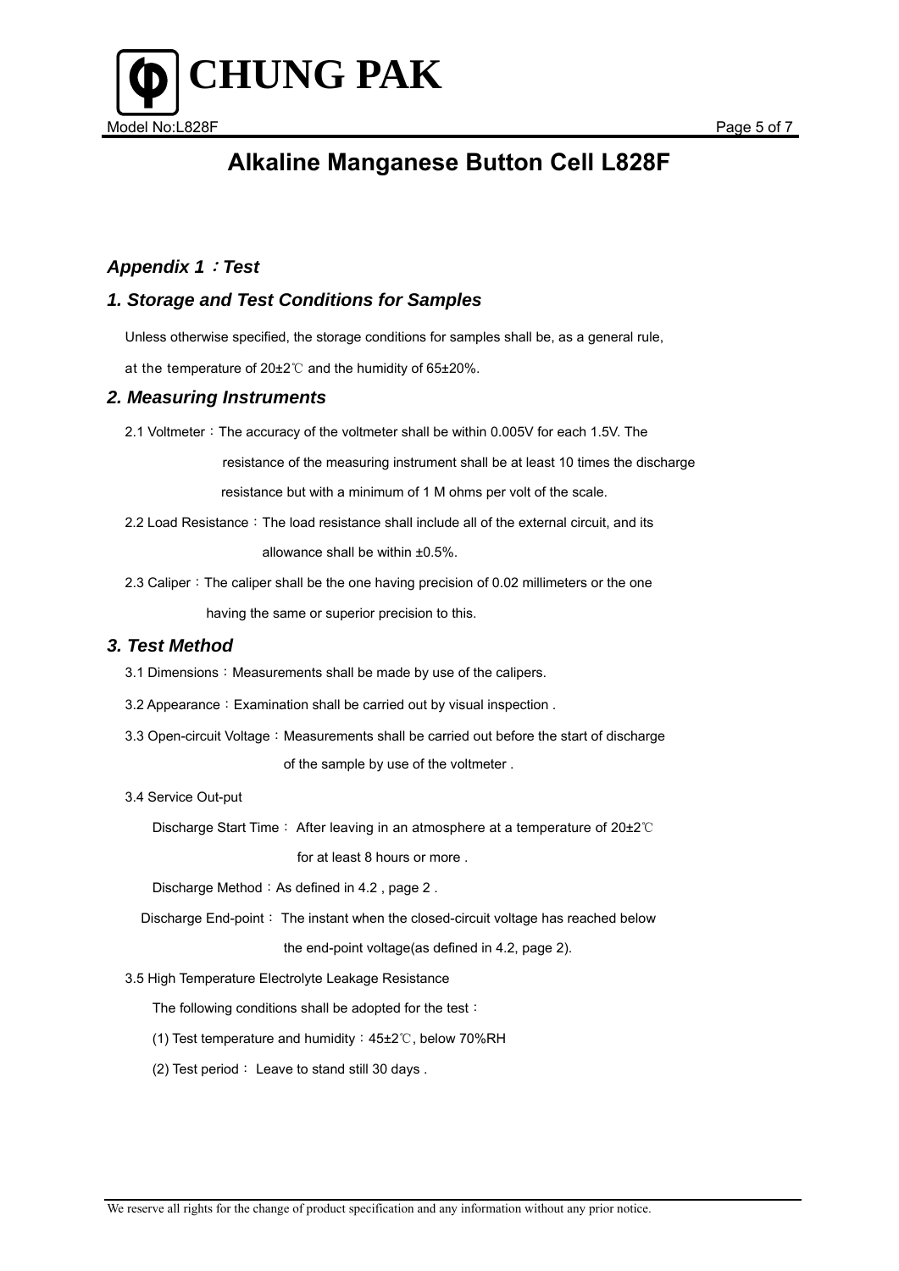

#### *Appendix 1*:*Test*

### *1. Storage and Test Conditions for Samples*

Unless otherwise specified, the storage conditions for samples shall be, as a general rule,

at the temperature of 20±2℃ and the humidity of 65±20%.

#### *2. Measuring Instruments*

2.1 Voltmeter: The accuracy of the voltmeter shall be within 0.005V for each 1.5V. The

 resistance of the measuring instrument shall be at least 10 times the discharge resistance but with a minimum of 1 M ohms per volt of the scale.

2.2 Load Resistance: The load resistance shall include all of the external circuit, and its

allowance shall be within ±0.5%.

2.3 Caliper: The caliper shall be the one having precision of 0.02 millimeters or the one having the same or superior precision to this.

#### *3. Test Method*

- 3.1 Dimensions: Measurements shall be made by use of the calipers.
- 3.2 Appearance: Examination shall be carried out by visual inspection.
- 3.3 Open-circuit Voltage: Measurements shall be carried out before the start of discharge of the sample by use of the voltmeter .
- 3.4 Service Out-put

Discharge Start Time: After leaving in an atmosphere at a temperature of 20±2℃

for at least 8 hours or more .

Discharge Method: As defined in 4.2, page 2.

Discharge End-point: The instant when the closed-circuit voltage has reached below

the end-point voltage(as defined in 4.2, page 2).

3.5 High Temperature Electrolyte Leakage Resistance

The following conditions shall be adopted for the test:

- (1) Test temperature and humidity:45±2℃, below 70%RH
- (2) Test period: Leave to stand still 30 days .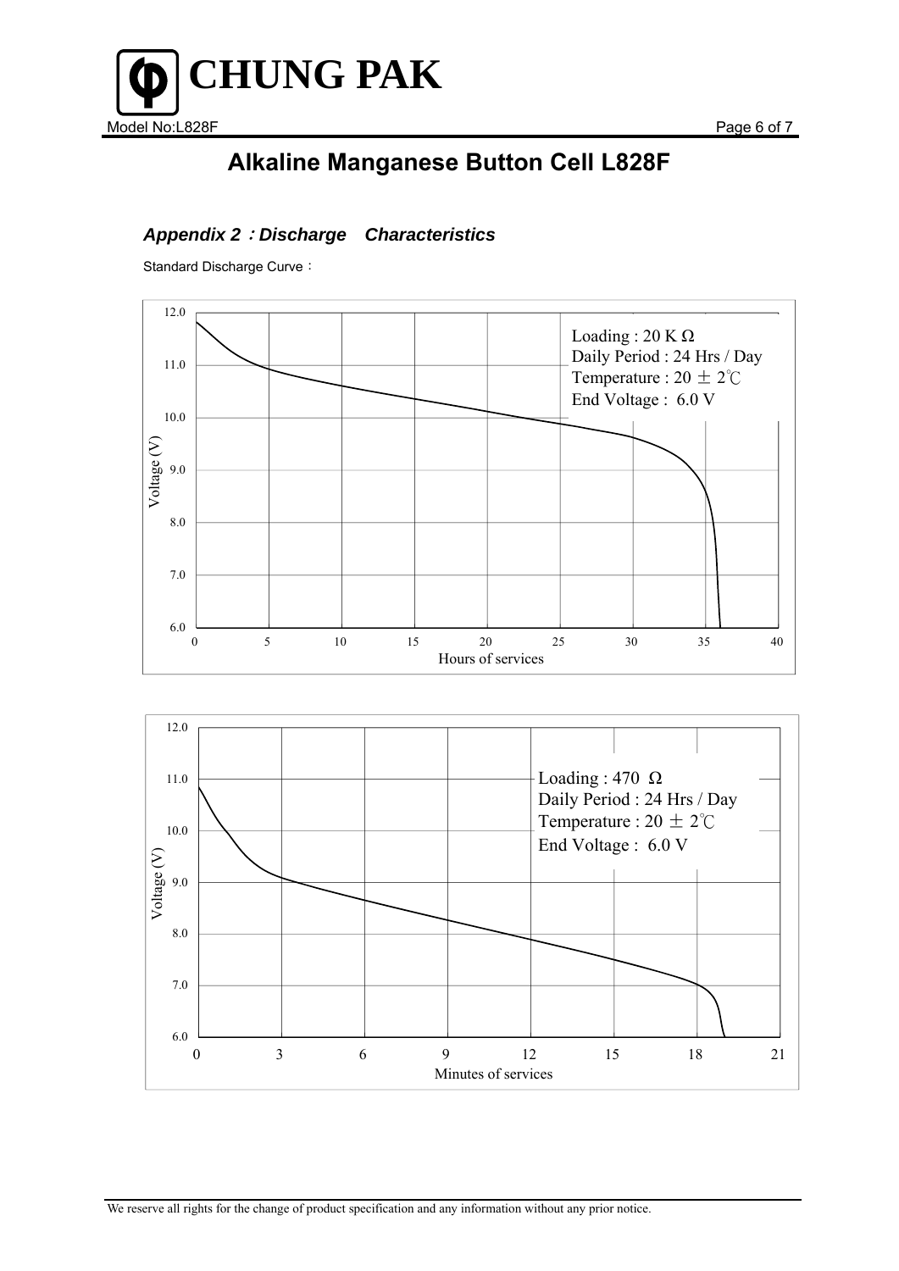

## *Appendix 2*:*Discharge Characteristics*

Standard Discharge Curve: